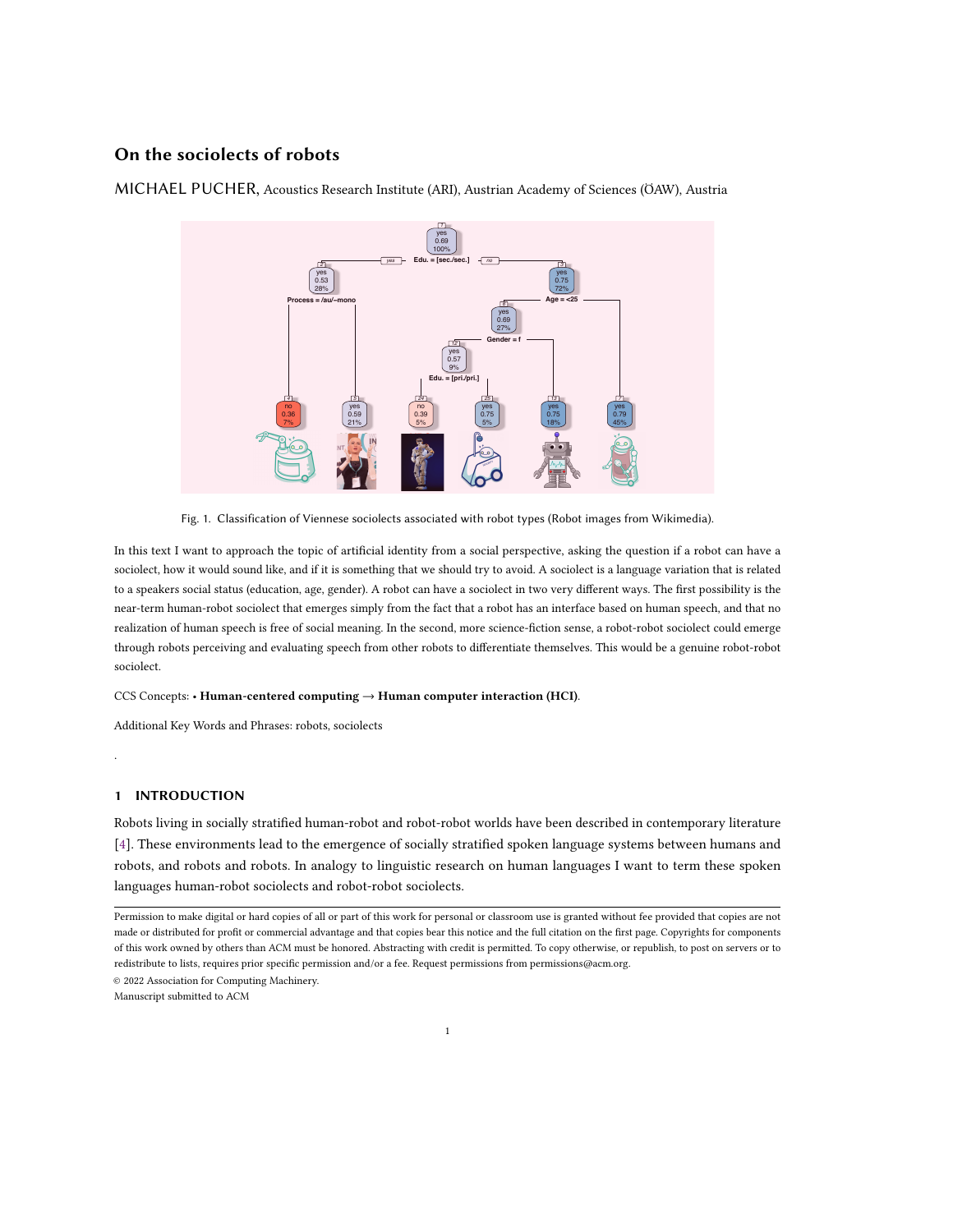# On the sociolects of robots

**Edu. = [sec./sec.] Process = /au/−mono Age = <25 Gender = f Edu. = [pri./pri.]** *yes no no no no no no no no no no no no no no no no no no no no no no no no no no no no no no no 1 2 4 5 3 12 24 25 13 7* yes 0.69 100% yes 0.53 28% no 0.36 7% yes 0.59 21% yes 0.75 72% yes 0.69 27% yes 0.57 9% no 0.39 5% yes 0.75 5% yes 0.75 18% yes 0.79 45% **VSAGA IN SAGA B** 

MICHAEL PUCHER, Acoustics Research Institute (ARI), Austrian Academy of Sciences (ÖAW), Austria

Fig. 1. Classification of Viennese sociolects associated with robot types (Robot images from Wikimedia).

In this text I want to approach the topic of artificial identity from a social perspective, asking the question if a robot can have a sociolect, how it would sound like, and if it is something that we should try to avoid. A sociolect is a language variation that is related to a speakers social status (education, age, gender). A robot can have a sociolect in two very different ways. The first possibility is the near-term human-robot sociolect that emerges simply from the fact that a robot has an interface based on human speech, and that no realization of human speech is free of social meaning. In the second, more science-fiction sense, a robot-robot sociolect could emerge through robots perceiving and evaluating speech from other robots to differentiate themselves. This would be a genuine robot-robot sociolect.

## CCS Concepts: • Human-centered computing → Human computer interaction (HCI).

Additional Key Words and Phrases: robots, sociolects

# 1 INTRODUCTION

.

Robots living in socially stratified human-robot and robot-robot worlds have been described in contemporary literature [\[4\]](#page-2-0). These environments lead to the emergence of socially stratified spoken language systems between humans and robots, and robots and robots. In analogy to linguistic research on human languages I want to term these spoken languages human-robot sociolects and robot-robot sociolects.

© 2022 Association for Computing Machinery.

Manuscript submitted to ACM

1

Permission to make digital or hard copies of all or part of this work for personal or classroom use is granted without fee provided that copies are not made or distributed for profit or commercial advantage and that copies bear this notice and the full citation on the first page. Copyrights for components of this work owned by others than ACM must be honored. Abstracting with credit is permitted. To copy otherwise, or republish, to post on servers or to redistribute to lists, requires prior specific permission and/or a fee. Request permissions from permissions@acm.org.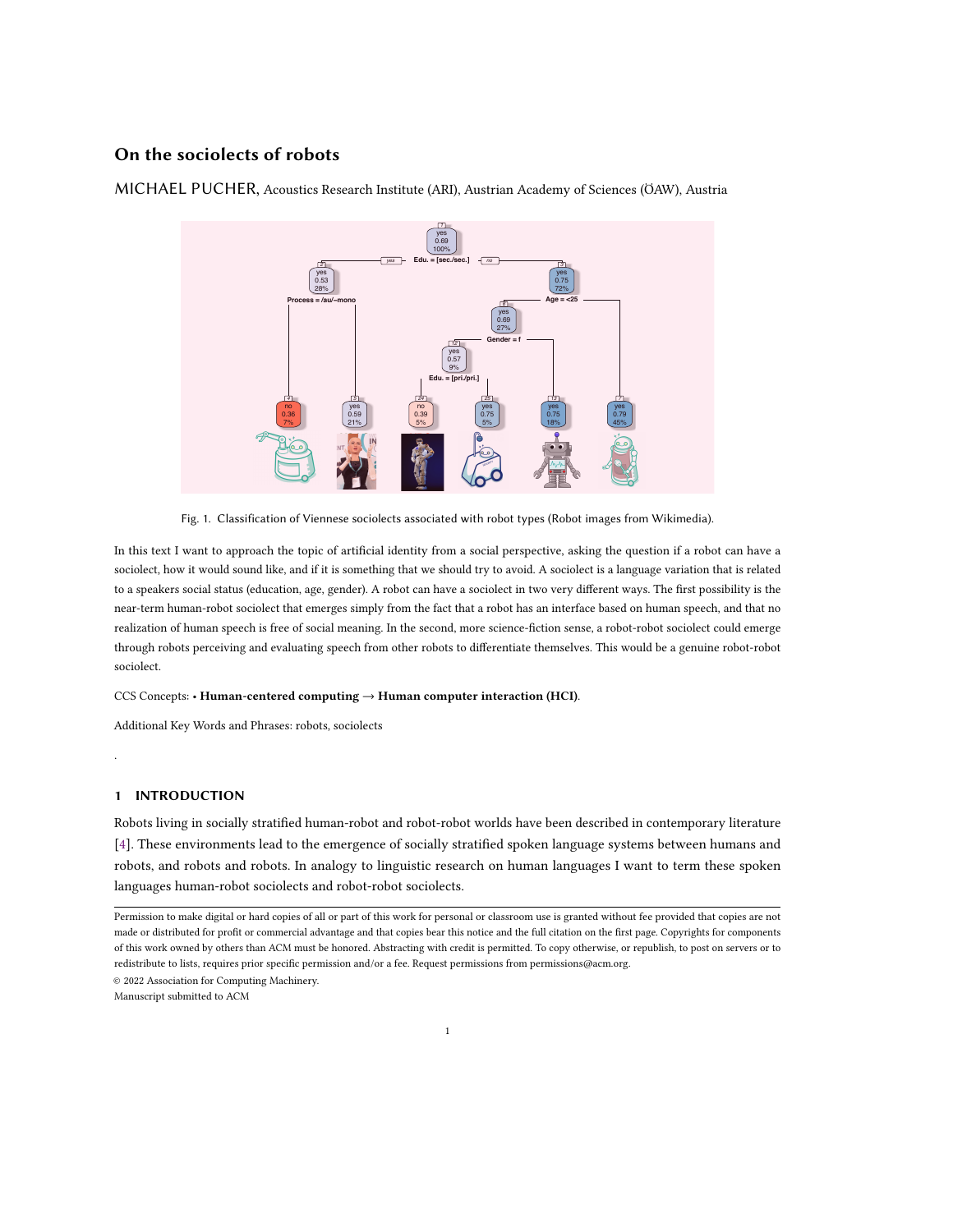Human-robot sociolects arise through the usage of human languages in human-robot interaction. Since human languages encode socially relevant information and stratification, these features are transferred to the robots in humanrobot interaction. A robot using a male voice inherits features of male voices as evaluated by human speakers and listeners. A robot using a standard voice inherits the prestige of the standard, while a robot using a dialect voice inherits the lower prestige features of the dialect [\[6\]](#page-2-1). This has been described very well for spoken dialog systems in a recent UN report [\[2\]](#page-2-2). Although human-robot sociolects are based on features of sociolects from human languages they give rise to new research questions and directions since the theoretical possibility of adaptation to human listeners is huge for robots, an adaptation that a human speaker can only realize partially. That such an adaptation is also applied by human speakers can be seen in the different waves of sociolinguistics from variationist, to ethnographic and stylistic approaches that more and more emphasize the possibility of variation by the speaker [\[3\]](#page-2-3).

There are two important features of sociolects, namely (i) variation and (ii) stratification. For the investigation of robot-robot sociolects these two features can be kept apart. It is possible that variation in robot speech occurs without any stratification. In human languages a sociolect is often related to a stratification, i.e. hierarchy between language varieties, so along these lines sociolects between robots could emerge, when one robot has an older speech interface with less capabilities, and a newer robot with a better interface is able to recognize this difference, and implicitly or explicitly uses this difference to distinguish itself from the other robot. In such a way a sociolect between robots would have emerged, based on technical progress. However, such a language game between robots only seems to make sense under the presence of a third human listener, such that these sociolects should be termed robot-robot-human sociolects. This would then be a genuine sociolect of robots.

Human-robot and robot-robot (robot-robot-human) sociolects can be located on all linguistic levels (sub-segmental, segmental, supra-segmental, lexical, syntactic, semantic, pragmatic) similarly to human sociolects. When related to specific speech modules used by a robot the arising variation is dependent on variation in human speech, and variation that relates to technical deficiencies or speech capabilities that outperform human capabilities.

Concerning the investigation of these robot sociolects methodical problems that arise with human sociolects such as the observer paradox could be overcome. This paradoxical situation arises when we want to "...find out how people talk when they are not being systematically observed; yet we can only obtain these data by systematic observation" [\[5\]](#page-2-4). Robots could observe themselves in an objective way and thus there would be no necessity for (i) the presence of someone in the role of the fieldworker, (ii) the presence of the recording device, (iii) or a specific task related to the investigation [\[3\]](#page-2-3).

I have tried to sketch an answer to the question if robots can have sociolects and how they would sound like. An answer that remains to be given is if they should have sociolects, i.e. should live in a socially stratified world of robots. Even if we follow Asimov's laws such a stratification could easily arise among robots since according to Asimov's third law "A robot must protect its own existence as long as such protection does not conflict with the First or Second Laws". Robots living in a socially stratified world would probably develop or be developed in a way that mirrors the hierarchies that are present in this world. This would include the development of social distinction to protect their own status. To avoid this, it seems to be necessary to overcome the social stratification of our world, where linguistic styles are used in an ideological way to force the recognition of the given order as natural [\[1\]](#page-2-5).

#### 2 BIOGRAPHY

Michael Pucher is a Senior Research Scientist at the Acoustics Research Institute (ARI) of the Austrian Academy of Sciences (ÖAW). He obtained his doctoral degree in Electrical and Information Engineering from Graz University of